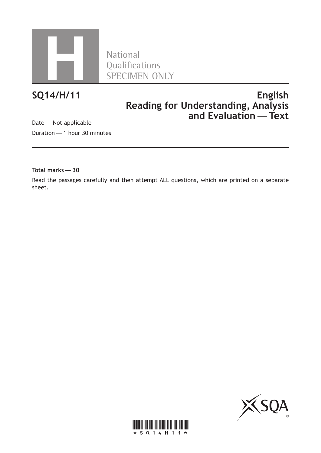

Qualifications SPECIMEN ONLY

# **SQ14/H/11 English Reading for Understanding, Analysis and Evaluation—Text**

Date—Not applicable Duration—1 hour 30 minutes

**Total marks—30**

Read the passages carefully and then attempt ALL questions, which are printed on a separate sheet.



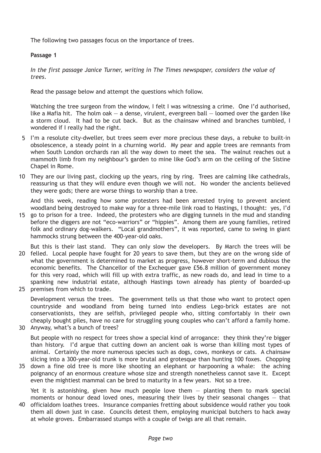The following two passages focus on the importance of trees.

## **Passage 1**

*In the first passage Janice Turner, writing in The Times newspaper, considers the value of trees*.

Read the passage below and attempt the questions which follow.

Watching the tree surgeon from the window, I felt I was witnessing a crime. One I'd authorised, like a Mafia hit. The holm oak  $-$  a dense, virulent, evergreen ball  $-$  loomed over the garden like a storm cloud. It had to be cut back. But as the chainsaw whined and branches tumbled, I wondered if I really had the right.

- 5 I'm a resolute city-dweller, but trees seem ever more precious these days, a rebuke to built-in obsolescence, a steady point in a churning world. My pear and apple trees are remnants from when South London orchards ran all the way down to meet the sea. The walnut reaches out a mammoth limb from my neighbour's garden to mine like God's arm on the ceiling of the Sistine Chapel in Rome.
- They are our living past, clocking up the years, ring by ring. Trees are calming like cathedrals, 10 reassuring us that they will endure even though we will not. No wonder the ancients believed they were gods; there are worse things to worship than a tree.

And this week, reading how some protesters had been arrested trying to prevent ancient woodland being destroyed to make way for a three-mile link road to Hastings, I thought: yes, I'd

- 15 go to prison for a tree. Indeed, the protesters who are digging tunnels in the mud and standing before the diggers are not "eco-warriors" or "hippies". Among them are young families, retired folk and ordinary dog-walkers. "Local grandmothers", it was reported, came to swing in giant hammocks strung between the 400-year-old oaks.
- But this is their last stand. They can only slow the developers. By March the trees will be 20 felled. Local people have fought for 20 years to save them, but they are on the wrong side of what the government is determined to market as progress, however short-term and dubious the economic benefits. The Chancellor of the Exchequer gave £56.8 million of government money for this very road, which will fill up with extra traffic, as new roads do, and lead in time to a spanking new industrial estate, although Hastings town already has plenty of boarded-up
- 25 premises from which to trade.

Development versus the trees. The government tells us that those who want to protect open countryside and woodland from being turned into endless Lego-brick estates are not conservationists, they are selfish, privileged people who, sitting comfortably in their own cheaply bought piles, have no care for struggling young couples who can't afford a family home.

30 Anyway, what's a bunch of trees?

But people with no respect for trees show a special kind of arrogance: they think they're bigger than history. I'd argue that cutting down an ancient oak is worse than killing most types of animal. Certainly the more numerous species such as dogs, cows, monkeys or cats. A chainsaw slicing into a 300-year-old trunk is more brutal and grotesque than hunting 100 foxes. Chopping

35 down a fine old tree is more like shooting an elephant or harpooning a whale: the aching poignancy of an enormous creature whose size and strength nonetheless cannot save it. Except even the mightiest mammal can be bred to maturity in a few years. Not so a tree.

Yet it is astonishing, given how much people love them  $-$  planting them to mark special moments or honour dead loved ones, measuring their lives by their seasonal changes — that 40 officialdom loathes trees. Insurance companies fretting about subsidence would rather you took them all down just in case. Councils detest them, employing municipal butchers to hack away at whole groves. Embarrassed stumps with a couple of twigs are all that remain.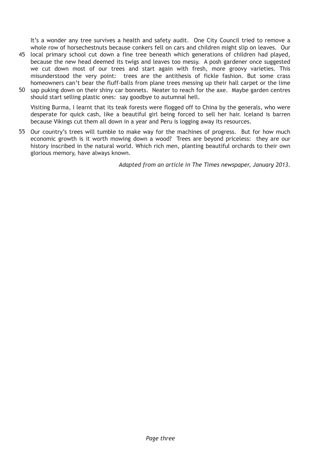It's a wonder any tree survives a health and safety audit. One City Council tried to remove a whole row of horsechestnuts because conkers fell on cars and children might slip on leaves. Our

- local primary school cut down a fine tree beneath which generations of children had played, 45 because the new head deemed its twigs and leaves too messy. A posh gardener once suggested we cut down most of our trees and start again with fresh, more groovy varieties. This misunderstood the very point: trees are the antithesis of fickle fashion. But some crass homeowners can't bear the fluff-balls from plane trees messing up their hall carpet or the lime
- 50 sap puking down on their shiny car bonnets. Neater to reach for the axe. Maybe garden centres should start selling plastic ones: say goodbye to autumnal hell.

Visiting Burma, I learnt that its teak forests were flogged off to China by the generals, who were desperate for quick cash, like a beautiful girl being forced to sell her hair. Iceland is barren because Vikings cut them all down in a year and Peru is logging away its resources.

55 Our country's trees will tumble to make way for the machines of progress. But for how much economic growth is it worth mowing down a wood? Trees are beyond priceless: they are our history inscribed in the natural world. Which rich men, planting beautiful orchards to their own glorious memory, have always known.

*Adapted from an article in The Times newspaper, January 2013*.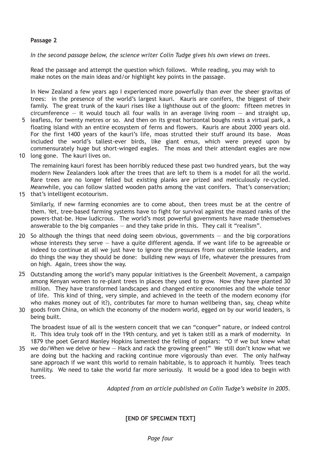### **Passage 2**

*In the second passage below, the science writer Colin Tudge gives his own views on trees*.

Read the passage and attempt the question which follows. While reading, you may wish to make notes on the main ideas and/or highlight key points in the passage.

In New Zealand a few years ago I experienced more powerfully than ever the sheer gravitas of trees: in the presence of the world's largest kauri. Kauris are conifers, the biggest of their family. The great trunk of the kauri rises like a lighthouse out of the gloom: fifteen metres in circumference  $-$  it would touch all four walls in an average living room  $-$  and straight up,

- 5 leafless, for twenty metres or so. And then on its great horizontal boughs rests a virtual park, a floating island with an entire ecosystem of ferns and flowers. Kauris are about 2000 years old. For the first 1400 years of the kauri's life, moas strutted their stuff around its base. Moas included the world's tallest-ever birds, like giant emus, which were preyed upon by commensurately huge but short-winged eagles. The moas and their attendant eagles are now
- 10 long gone. The kauri lives on.

The remaining kauri forest has been horribly reduced these past two hundred years, but the way modern New Zealanders look after the trees that are left to them is a model for all the world. Rare trees are no longer felled but existing planks are prized and meticulously re-cycled. Meanwhile, you can follow slatted wooden paths among the vast conifers. That's conservation;

15 that's intelligent ecotourism.

Similarly, if new farming economies are to come about, then trees must be at the centre of them. Yet, tree-based farming systems have to fight for survival against the massed ranks of the powers-that-be. How ludicrous. The world's most powerful governments have made themselves answerable to the big companies  $-$  and they take pride in this. They call it "realism".

- 20 So although the things that need doing seem obvious, governments  $-$  and the big corporations whose interests they serve  $-$  have a quite different agenda. If we want life to be agreeable or indeed to continue at all we just have to ignore the pressures from our ostensible leaders, and do things the way they should be done: building new ways of life, whatever the pressures from on high. Again, trees show the way.
- 25 Outstanding among the world's many popular initiatives is the Greenbelt Movement, a campaign among Kenyan women to re-plant trees in places they used to grow. Now they have planted 30 million. They have transformed landscapes and changed entire economies and the whole tenor of life. This kind of thing, very simple, and achieved in the teeth of the modern economy (for who makes money out of it?), contributes far more to human wellbeing than, say, cheap white
- goods from China, on which the economy of the modern world, egged on by our world leaders, is 30 being built.

The broadest issue of all is the western conceit that we can "conquer" nature, or indeed control it. This idea truly took off in the 19th century, and yet is taken still as a mark of modernity. In 1879 the poet Gerard Manley Hopkins lamented the felling of poplars: "O if we but knew what

we do/When we delve or hew — Hack and rack the growing green!" We still don't know what we 35are doing but the hacking and racking continue more vigorously than ever. The only halfway sane approach if we want this world to remain habitable, is to approach it humbly. Trees teach humility. We need to take the world far more seriously. It would be a good idea to begin with trees.

*Adapted from an article published on Colin Tudge's website in 2005*.

**[END OF SPECIMEN TEXT]**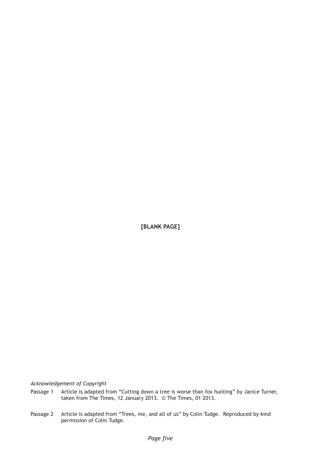**[BLANK PAGE]**

*Acknowledgement of Copyright*

- Passage 1 Article is adapted from "Cutting down a tree is worse than fox hunting" by Janice Turner, taken from The Times, 12 January 2013. © The Times, 01 2013.
- Passage 2 Article is adapted from "Trees, me, and all of us" by Colin Tudge. Reproduced by kind permission of Colin Tudge.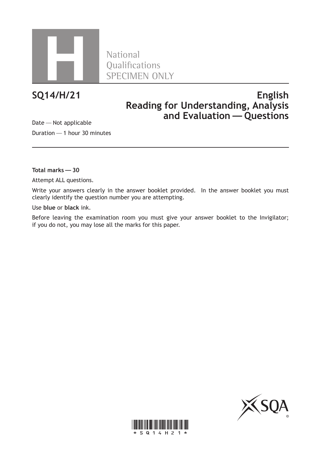

Qualifications SPECIMEN ONLY

# **SQ14/H/21 English Reading for Understanding, Analysis and Evaluation—Questions**

Date—Not applicable Duration—1 hour 30 minutes

**Total marks—30**

Attempt ALL questions.

Write your answers clearly in the answer booklet provided. In the answer booklet you must clearly identify the question number you are attempting.

Use **blue** or **black** ink.

Before leaving the examination room you must give your answer booklet to the Invigilator; if you do not, you may lose all the marks for this paper.



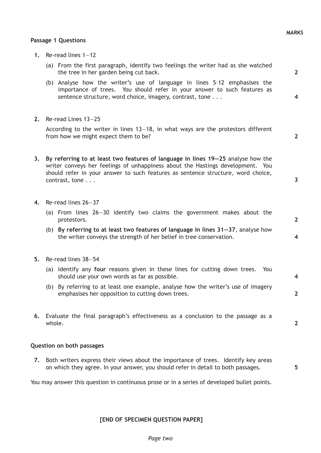**2**

**4**

**2**

**3**

**2**

**4**

**4**

**2**

**2**

**5**

#### **Passage 1 Questions**

- **1.** Re-read lines 1—12
	- (a) From the first paragraph, identify two feelings the writer had as she watched the tree in her garden being cut back.
	- (b) Analyse how the writer's use of language in lines 5–12 emphasises the importance of trees. You should refer in your answer to such features as sentence structure, word choice, imagery, contrast, tone . . .
- **2.** Re-read Lines 13—25

 According to the writer in lines 13—18, in what ways are the protestors different from how we might expect them to be?

- **3. By referring to at least two features of language in lines 19—25** analyse how the writer conveys her feelings of unhappiness about the Hastings development. You should refer in your answer to such features as sentence structure, word choice, contrast, tone . . .
- **4.** Re-read lines 26—37
	- (a) From lines 26—30 identify two claims the government makes about the protestors.
	- (b) **By referring to at least two features of language in lines 31—37**, analyse how the writer conveys the strength of her belief in tree conservation.
- **5.** Re-read lines 38—54
	- (a) Identify any **four** reasons given in these lines for cutting down trees. You should use your own words as far as possible.
	- (b) By referring to at least one example, analyse how the writer's use of imagery emphasises her opposition to cutting down trees.
- **6.** Evaluate the final paragraph's effectiveness as a conclusion to the passage as a whole.

#### **Question on both passages**

**7.** Both writers express their views about the importance of trees. Identify key areas on which they agree. In your answer, you should refer in detail to both passages.

You may answer this question in continuous prose or in a series of developed bullet points.

**[END OF SPECIMEN QUESTION PAPER]**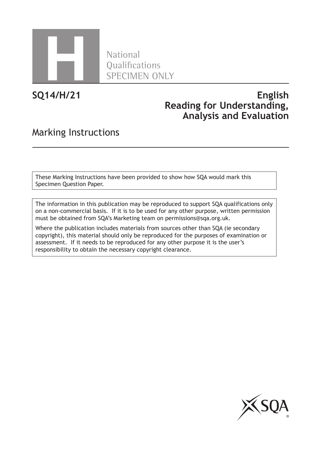

**National** Qualifications SPECIMEN ONLY

**SQ14/H/21**

# **English Reading for Understanding, Analysis and Evaluation**

# Marking Instructions

These Marking Instructions have been provided to show how SQA would mark this Specimen Question Paper.

The information in this publication may be reproduced to support SQA qualifications only on a non-commercial basis. If it is to be used for any other purpose, written permission must be obtained from SQA's Marketing team on permissions@sqa.org.uk.

Where the publication includes materials from sources other than SQA (ie secondary copyright), this material should only be reproduced for the purposes of examination or assessment. If it needs to be reproduced for any other purpose it is the user's responsibility to obtain the necessary copyright clearance.

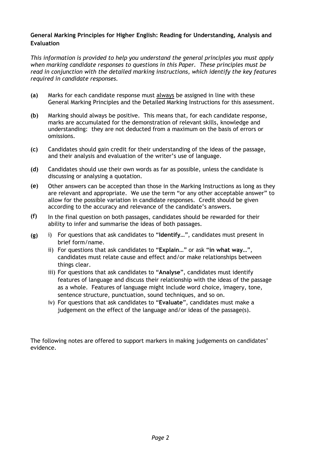## **General Marking Principles for Higher English: Reading for Understanding, Analysis and Evaluation**

*This information is provided to help you understand the general principles you must apply when marking candidate responses to questions in this Paper. These principles must be read in conjunction with the detailed marking instructions, which identify the key features required in candidate responses.*

- **(a)** Marks for each candidate response must always be assigned in line with these General Marking Principles and the Detailed Marking Instructions for this assessment.
- **(b)** Marking should always be positive. This means that, for each candidate response, marks are accumulated for the demonstration of relevant skills, knowledge and understanding: they are not deducted from a maximum on the basis of errors or omissions.
- **(c)** Candidates should gain credit for their understanding of the ideas of the passage, and their analysis and evaluation of the writer's use of language.
- **(d)** Candidates should use their own words as far as possible, unless the candidate is discussing or analysing a quotation.
- **(e)** Other answers can be accepted than those in the Marking Instructions as long as they are relevant and appropriate. We use the term "or any other acceptable answer" to allow for the possible variation in candidate responses. Credit should be given according to the accuracy and relevance of the candidate's answers.
- **(f)** In the final question on both passages, candidates should be rewarded for their ability to infer and summarise the ideas of both passages.
- **(g)** i) For questions that ask candidates to "Identify...", candidates must present in brief form/name.
	- ii) For questions that ask candidates to "Explain..." or ask "in what way...", candidates must relate cause and effect and/or make relationships between things clear.
	- iii) For questions that ask candidates to "Analyse", candidates must identify features of language and discuss their relationship with the ideas of the passage as a whole. Features of language might include word choice, imagery, tone, sentence structure, punctuation, sound techniques, and so on.
	- iv) For questions that ask candidates to "Evaluate", candidates must make a judgement on the effect of the language and/or ideas of the passage(s).

The following notes are offered to support markers in making judgements on candidates' evidence.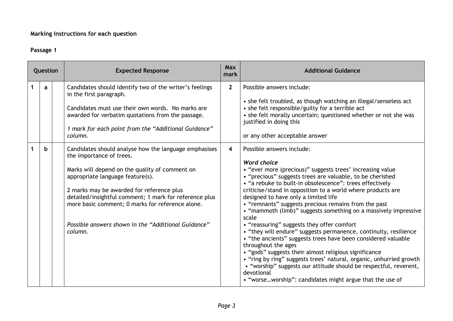## **Marking Instructions for each question**

## **Passage 1**

| Question |    | <b>Expected Response</b>                                                                                                                                                                                                                                                                                                                                                                             | <b>Max</b><br>mark      | <b>Additional Guidance</b>                                                                                                                                                                                                                                                                                                                                                                                                                                                                                                                                                                                                                                                                                                                                                                                                                                                                                                                                                |
|----------|----|------------------------------------------------------------------------------------------------------------------------------------------------------------------------------------------------------------------------------------------------------------------------------------------------------------------------------------------------------------------------------------------------------|-------------------------|---------------------------------------------------------------------------------------------------------------------------------------------------------------------------------------------------------------------------------------------------------------------------------------------------------------------------------------------------------------------------------------------------------------------------------------------------------------------------------------------------------------------------------------------------------------------------------------------------------------------------------------------------------------------------------------------------------------------------------------------------------------------------------------------------------------------------------------------------------------------------------------------------------------------------------------------------------------------------|
|          | a  | Candidates should identify two of the writer's feelings<br>in the first paragraph.<br>Candidates must use their own words. No marks are<br>awarded for verbatim quotations from the passage.<br>1 mark for each point from the "Additional Guidance"<br>column.                                                                                                                                      | $\mathbf{2}$            | Possible answers include:<br>• she felt troubled, as though watching an illegal/senseless act<br>• she felt responsible/guilty for a terrible act<br>• she felt morally uncertain; questioned whether or not she was<br>justified in doing this<br>or any other acceptable answer                                                                                                                                                                                                                                                                                                                                                                                                                                                                                                                                                                                                                                                                                         |
|          | b. | Candidates should analyse how the language emphasises<br>the importance of trees.<br>Marks will depend on the quality of comment on<br>appropriate language feature(s).<br>2 marks may be awarded for reference plus<br>detailed/insightful comment; 1 mark for reference plus<br>more basic comment; 0 marks for reference alone.<br>Possible answers shown in the "Additional Guidance"<br>column. | $\overline{\mathbf{4}}$ | Possible answers include:<br><b>Word choice</b><br>• "ever more (precious)" suggests trees' increasing value<br>• "precious" suggests trees are valuable, to be cherished<br>• "a rebuke to built-in obsolescence": trees effectively<br>criticise/stand in opposition to a world where products are<br>designed to have only a limited life<br>• "remnants" suggests precious remains from the past<br>• "mammoth (limb)" suggests something on a massively impressive<br>scale<br>• "reassuring" suggests they offer comfort<br>• "they will endure" suggests permanence, continuity, resilience<br>• "the ancients" suggests trees have been considered valuable<br>throughout the ages<br>• "gods" suggests their almost religious significance<br>• "ring by ring" suggests trees' natural, organic, unhurried growth<br>• "worship" suggests our attitude should be respectful, reverent,<br>devotional<br>• "worseworship": candidates might argue that the use of |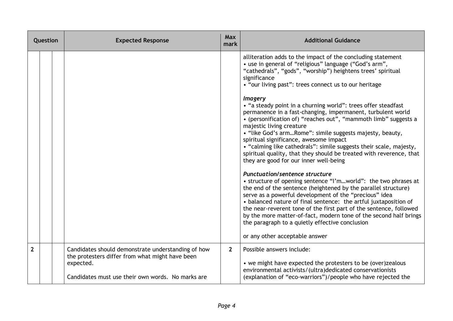| Question       |  | <b>Expected Response</b>                                                                                                                                                | <b>Max</b><br>mark | <b>Additional Guidance</b>                                                                                                                                                                                                                                                                                                                                                                                                                                                                                                                                                                                                                                                                                                                                                                                                                                                                                                                                                                                                                                                                                                                                                                                                                                                                                                                             |
|----------------|--|-------------------------------------------------------------------------------------------------------------------------------------------------------------------------|--------------------|--------------------------------------------------------------------------------------------------------------------------------------------------------------------------------------------------------------------------------------------------------------------------------------------------------------------------------------------------------------------------------------------------------------------------------------------------------------------------------------------------------------------------------------------------------------------------------------------------------------------------------------------------------------------------------------------------------------------------------------------------------------------------------------------------------------------------------------------------------------------------------------------------------------------------------------------------------------------------------------------------------------------------------------------------------------------------------------------------------------------------------------------------------------------------------------------------------------------------------------------------------------------------------------------------------------------------------------------------------|
|                |  |                                                                                                                                                                         |                    | alliteration adds to the impact of the concluding statement<br>• use in general of "religious" language ("God's arm",<br>"cathedrals", "gods", "worship") heightens trees' spiritual<br>significance<br>• "our living past": trees connect us to our heritage<br><i>Imagery</i><br>• "a steady point in a churning world": trees offer steadfast<br>permanence in a fast-changing, impermanent, turbulent world<br>• (personification of) "reaches out", "mammoth limb" suggests a<br>majestic living creature<br>• "like God's armRome": simile suggests majesty, beauty,<br>spiritual significance, awesome impact<br>• "calming like cathedrals": simile suggests their scale, majesty,<br>spiritual quality, that they should be treated with reverence, that<br>they are good for our inner well-being<br><b>Punctuation/sentence structure</b><br>• structure of opening sentence "I'mworld": the two phrases at<br>the end of the sentence (heightened by the parallel structure)<br>serve as a powerful development of the "precious" idea<br>• balanced nature of final sentence: the artful juxtaposition of<br>the near-reverent tone of the first part of the sentence, followed<br>by the more matter-of-fact, modern tone of the second half brings<br>the paragraph to a quietly effective conclusion<br>or any other acceptable answer |
| $\overline{2}$ |  | Candidates should demonstrate understanding of how<br>the protesters differ from what might have been<br>expected.<br>Candidates must use their own words. No marks are | $2^{\circ}$        | Possible answers include:<br>• we might have expected the protesters to be (over)zealous<br>environmental activists/(ultra)dedicated conservationists<br>(explanation of "eco-warriors")/people who have rejected the                                                                                                                                                                                                                                                                                                                                                                                                                                                                                                                                                                                                                                                                                                                                                                                                                                                                                                                                                                                                                                                                                                                                  |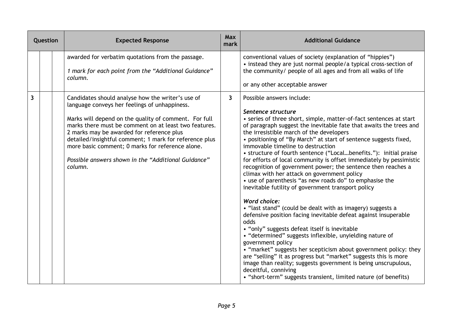| Question | <b>Expected Response</b>                                                                                                                                                                                                                                                                                                                                                                                                                          | <b>Max</b><br>mark | <b>Additional Guidance</b>                                                                                                                                                                                                                                                                                                                                                                                                                                                                                                                                                                                                                                                                                                                                                                                                                                                                                                                                                                                                                                                                                                                                                                                                                                      |
|----------|---------------------------------------------------------------------------------------------------------------------------------------------------------------------------------------------------------------------------------------------------------------------------------------------------------------------------------------------------------------------------------------------------------------------------------------------------|--------------------|-----------------------------------------------------------------------------------------------------------------------------------------------------------------------------------------------------------------------------------------------------------------------------------------------------------------------------------------------------------------------------------------------------------------------------------------------------------------------------------------------------------------------------------------------------------------------------------------------------------------------------------------------------------------------------------------------------------------------------------------------------------------------------------------------------------------------------------------------------------------------------------------------------------------------------------------------------------------------------------------------------------------------------------------------------------------------------------------------------------------------------------------------------------------------------------------------------------------------------------------------------------------|
|          | awarded for verbatim quotations from the passage.<br>1 mark for each point from the "Additional Guidance"<br>column.                                                                                                                                                                                                                                                                                                                              |                    | conventional values of society (explanation of "hippies")<br>• instead they are just normal people/a typical cross-section of<br>the community/ people of all ages and from all walks of life<br>or any other acceptable answer                                                                                                                                                                                                                                                                                                                                                                                                                                                                                                                                                                                                                                                                                                                                                                                                                                                                                                                                                                                                                                 |
| 3        | Candidates should analyse how the writer's use of<br>language conveys her feelings of unhappiness.<br>Marks will depend on the quality of comment. For full<br>marks there must be comment on at least two features.<br>2 marks may be awarded for reference plus<br>detailed/insightful comment; 1 mark for reference plus<br>more basic comment; 0 marks for reference alone.<br>Possible answers shown in the "Additional Guidance"<br>column. | $\mathbf{3}$       | Possible answers include:<br>Sentence structure<br>• series of three short, simple, matter-of-fact sentences at start<br>of paragraph suggest the inevitable fate that awaits the trees and<br>the irresistible march of the developers<br>• positioning of "By March" at start of sentence suggests fixed,<br>immovable timeline to destruction<br>• structure of fourth sentence ("Localbenefits."): initial praise<br>for efforts of local community is offset immediately by pessimistic<br>recognition of government power; the sentence then reaches a<br>climax with her attack on government policy<br>• use of parenthesis "as new roads do" to emphasise the<br>inevitable futility of government transport policy<br><b>Word choice:</b><br>• "last stand" (could be dealt with as imagery) suggests a<br>defensive position facing inevitable defeat against insuperable<br>odds<br>• "only" suggests defeat itself is inevitable<br>• "determined" suggests inflexible, unyielding nature of<br>government policy<br>• "market" suggests her scepticism about government policy: they<br>are "selling" it as progress but "market" suggests this is more<br>image than reality; suggests government is being unscrupulous,<br>deceitful, conniving |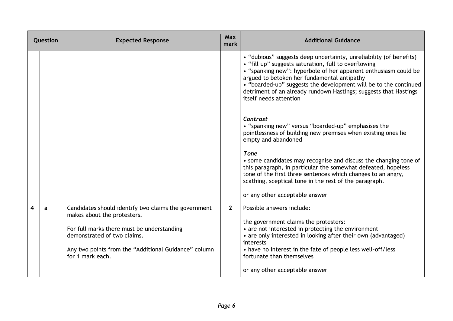| Question                |   | <b>Expected Response</b>                                                                                                                                                                                                                     | <b>Max</b><br>mark | <b>Additional Guidance</b>                                                                                                                                                                                                                                                                                                                                                                                     |
|-------------------------|---|----------------------------------------------------------------------------------------------------------------------------------------------------------------------------------------------------------------------------------------------|--------------------|----------------------------------------------------------------------------------------------------------------------------------------------------------------------------------------------------------------------------------------------------------------------------------------------------------------------------------------------------------------------------------------------------------------|
|                         |   |                                                                                                                                                                                                                                              |                    | • "dubious" suggests deep uncertainty, unreliability (of benefits)<br>• "fill up" suggests saturation, full to overflowing<br>• "spanking new": hyperbole of her apparent enthusiasm could be<br>argued to betoken her fundamental antipathy<br>• "boarded-up" suggests the development will be to the continued<br>detriment of an already rundown Hastings; suggests that Hastings<br>itself needs attention |
|                         |   |                                                                                                                                                                                                                                              |                    | Contrast<br>• "spanking new" versus "boarded-up" emphasises the<br>pointlessness of building new premises when existing ones lie<br>empty and abandoned                                                                                                                                                                                                                                                        |
|                         |   |                                                                                                                                                                                                                                              |                    | <b>Tone</b><br>• some candidates may recognise and discuss the changing tone of<br>this paragraph, in particular the somewhat defeated, hopeless<br>tone of the first three sentences which changes to an angry,<br>scathing, sceptical tone in the rest of the paragraph.                                                                                                                                     |
|                         |   |                                                                                                                                                                                                                                              |                    | or any other acceptable answer                                                                                                                                                                                                                                                                                                                                                                                 |
| $\overline{\mathbf{4}}$ | a | Candidates should identify two claims the government<br>makes about the protesters.<br>For full marks there must be understanding<br>demonstrated of two claims.<br>Any two points from the "Additional Guidance" column<br>for 1 mark each. | 2 <sup>1</sup>     | Possible answers include:<br>the government claims the protesters:<br>• are not interested in protecting the environment<br>• are only interested in looking after their own (advantaged)<br>interests<br>• have no interest in the fate of people less well-off/less<br>fortunate than themselves<br>or any other acceptable answer                                                                           |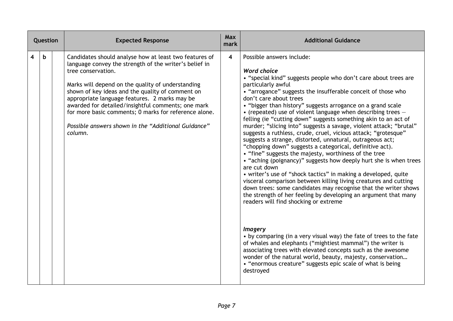| Question                |    | <b>Expected Response</b>                                                                                                                                                                                                                                                                                                                                                                                                                                                          | Max<br>mark             | <b>Additional Guidance</b>                                                                                                                                                                                                                                                                                                                                                                                                                                                                                                                                                                                                                                                                                                                                                                                                                                                                                                                                                                                                                                                                                                                                                 |
|-------------------------|----|-----------------------------------------------------------------------------------------------------------------------------------------------------------------------------------------------------------------------------------------------------------------------------------------------------------------------------------------------------------------------------------------------------------------------------------------------------------------------------------|-------------------------|----------------------------------------------------------------------------------------------------------------------------------------------------------------------------------------------------------------------------------------------------------------------------------------------------------------------------------------------------------------------------------------------------------------------------------------------------------------------------------------------------------------------------------------------------------------------------------------------------------------------------------------------------------------------------------------------------------------------------------------------------------------------------------------------------------------------------------------------------------------------------------------------------------------------------------------------------------------------------------------------------------------------------------------------------------------------------------------------------------------------------------------------------------------------------|
| $\overline{\mathbf{4}}$ | b. | Candidates should analyse how at least two features of<br>language convey the strength of the writer's belief in<br>tree conservation.<br>Marks will depend on the quality of understanding<br>shown of key ideas and the quality of comment on<br>appropriate language features. 2 marks may be<br>awarded for detailed/insightful comments; one mark<br>for more basic comments; 0 marks for reference alone.<br>Possible answers shown in the "Additional Guidance"<br>column. | $\overline{\mathbf{4}}$ | Possible answers include:<br><b>Word choice</b><br>• "special kind" suggests people who don't care about trees are<br>particularly awful<br>• "arrogance" suggests the insufferable conceit of those who<br>don't care about trees<br>• "bigger than history" suggests arrogance on a grand scale<br>• (repeated) use of violent language when describing trees $-$<br>felling (ie "cutting down" suggests something akin to an act of<br>murder; "slicing into" suggests a savage, violent attack; "brutal"<br>suggests a ruthless, crude, cruel, vicious attack; "grotesque"<br>suggests a strange, distorted, unnatural, outrageous act;<br>"chopping down" suggests a categorical, definitive act).<br>• "fine" suggests the majesty, worthiness of the tree<br>• "aching (poignancy)" suggests how deeply hurt she is when trees<br>are cut down<br>• writer's use of "shock tactics" in making a developed, quite<br>visceral comparison between killing living creatures and cutting<br>down trees: some candidates may recognise that the writer shows<br>the strength of her feeling by developing an argument that many<br>readers will find shocking or extreme |
|                         |    |                                                                                                                                                                                                                                                                                                                                                                                                                                                                                   |                         | <i><b>Imagery</b></i><br>• by comparing (in a very visual way) the fate of trees to the fate<br>of whales and elephants ("mightiest mammal") the writer is<br>associating trees with elevated concepts such as the awesome<br>wonder of the natural world, beauty, majesty, conservation<br>• "enormous creature" suggests epic scale of what is being<br>destroyed                                                                                                                                                                                                                                                                                                                                                                                                                                                                                                                                                                                                                                                                                                                                                                                                        |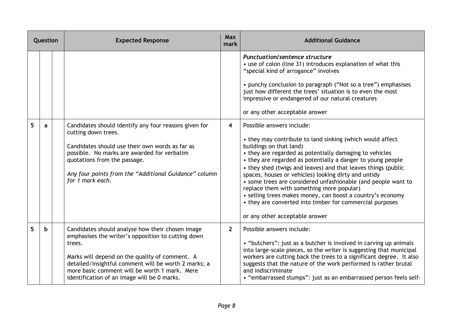| Question |   | <b>Expected Response</b>                                                                                                                                                                                                                                                                                                   | <b>Max</b><br>mark      | <b>Additional Guidance</b>                                                                                                                                                                                                                                                                                                                                                                                                                                                                                                                                                                                                                     |
|----------|---|----------------------------------------------------------------------------------------------------------------------------------------------------------------------------------------------------------------------------------------------------------------------------------------------------------------------------|-------------------------|------------------------------------------------------------------------------------------------------------------------------------------------------------------------------------------------------------------------------------------------------------------------------------------------------------------------------------------------------------------------------------------------------------------------------------------------------------------------------------------------------------------------------------------------------------------------------------------------------------------------------------------------|
|          |   |                                                                                                                                                                                                                                                                                                                            |                         | <b>Punctuation/sentence structure</b><br>• use of colon (line 31) introduces explanation of what this<br>"special kind of arrogance" involves<br>• punchy conclusion to paragraph ("Not so a tree") emphasises<br>just how different the trees' situation is to even the most<br>impressive or endangered of our natural creatures<br>or any other acceptable answer                                                                                                                                                                                                                                                                           |
| 5        | a | Candidates should identify any four reasons given for<br>cutting down trees.<br>Candidates should use their own words as far as<br>possible. No marks are awarded for verbatim<br>quotations from the passage.<br>Any four points from the "Additional Guidance" column<br>for 1 mark each.                                | $\overline{\mathbf{4}}$ | Possible answers include:<br>• they may contribute to land sinking (which would affect<br>buildings on that land)<br>• they are regarded as potentially damaging to vehicles<br>• they are regarded as potentially a danger to young people<br>• they shed (twigs and leaves) and that leaves things (public<br>spaces, houses or vehicles) looking dirty and untidy<br>• some trees are considered unfashionable (and people want to<br>replace them with something more popular)<br>• selling trees makes money, can boost a country's economy<br>• they are converted into timber for commercial purposes<br>or any other acceptable answer |
| 5        | b | Candidates should analyse how their chosen image<br>emphasises the writer's opposition to cutting down<br>trees.<br>Marks will depend on the quality of comment. A<br>detailed/insightful comment will be worth 2 marks; a<br>more basic comment will be worth 1 mark. Mere<br>identification of an image will be 0 marks. | $\mathbf{2}$            | Possible answers include:<br>• "butchers": just as a butcher is involved in carving up animals<br>into large-scale pieces, so the writer is suggesting that municipal<br>workers are cutting back the trees to a significant degree. It also<br>suggests that the nature of the work performed is rather brutal<br>and indiscriminate<br>• "embarrassed stumps": just as an embarrassed person feels self-                                                                                                                                                                                                                                     |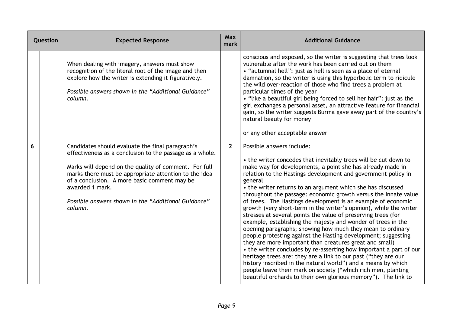| Question |  | <b>Expected Response</b>                                                                                                                                                                                                                                                                                                                                            | <b>Max</b><br>mark | <b>Additional Guidance</b>                                                                                                                                                                                                                                                                                                                                                                                                                                                                                                                                                                                                                                                                                                                                                                                                                                                                                                                                                                                                                                                                                                                                                            |
|----------|--|---------------------------------------------------------------------------------------------------------------------------------------------------------------------------------------------------------------------------------------------------------------------------------------------------------------------------------------------------------------------|--------------------|---------------------------------------------------------------------------------------------------------------------------------------------------------------------------------------------------------------------------------------------------------------------------------------------------------------------------------------------------------------------------------------------------------------------------------------------------------------------------------------------------------------------------------------------------------------------------------------------------------------------------------------------------------------------------------------------------------------------------------------------------------------------------------------------------------------------------------------------------------------------------------------------------------------------------------------------------------------------------------------------------------------------------------------------------------------------------------------------------------------------------------------------------------------------------------------|
|          |  | When dealing with imagery, answers must show<br>recognition of the literal root of the image and then<br>explore how the writer is extending it figuratively.<br>Possible answers shown in the "Additional Guidance"<br>column.                                                                                                                                     |                    | conscious and exposed, so the writer is suggesting that trees look<br>vulnerable after the work has been carried out on them<br>• "autumnal hell": just as hell is seen as a place of eternal<br>damnation, so the writer is using this hyperbolic term to ridicule<br>the wild over-reaction of those who find trees a problem at<br>particular times of the year<br>• "like a beautiful girl being forced to sell her hair": just as the<br>girl exchanges a personal asset, an attractive feature for financial<br>gain, so the writer suggests Burma gave away part of the country's<br>natural beauty for money<br>or any other acceptable answer                                                                                                                                                                                                                                                                                                                                                                                                                                                                                                                                |
| 6        |  | Candidates should evaluate the final paragraph's<br>effectiveness as a conclusion to the passage as a whole.<br>Marks will depend on the quality of comment. For full<br>marks there must be appropriate attention to the idea<br>of a conclusion. A more basic comment may be<br>awarded 1 mark.<br>Possible answers shown in the "Additional Guidance"<br>column. | $2^{\circ}$        | Possible answers include:<br>• the writer concedes that inevitably trees will be cut down to<br>make way for developments, a point she has already made in<br>relation to the Hastings development and government policy in<br>general<br>• the writer returns to an argument which she has discussed<br>throughout the passage: economic growth versus the innate value<br>of trees. The Hastings development is an example of economic<br>growth (very short-term in the writer's opinion), while the writer<br>stresses at several points the value of preserving trees (for<br>example, establishing the majesty and wonder of trees in the<br>opening paragraphs; showing how much they mean to ordinary<br>people protesting against the Hasting development; suggesting<br>they are more important than creatures great and small)<br>• the writer concludes by re-asserting how important a part of our<br>heritage trees are: they are a link to our past ("they are our<br>history inscribed in the natural world") and a means by which<br>people leave their mark on society ("which rich men, planting<br>beautiful orchards to their own glorious memory"). The link to |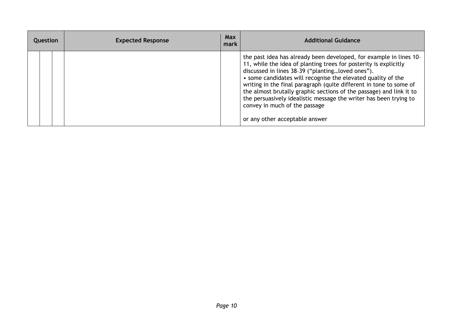| Question |  | <b>Expected Response</b> | <b>Max</b><br>mark | <b>Additional Guidance</b>                                                                                                                                                                                                                                                                                                                                                                                                                                                                                                                      |
|----------|--|--------------------------|--------------------|-------------------------------------------------------------------------------------------------------------------------------------------------------------------------------------------------------------------------------------------------------------------------------------------------------------------------------------------------------------------------------------------------------------------------------------------------------------------------------------------------------------------------------------------------|
|          |  |                          |                    | the past idea has already been developed, for example in lines 10-<br>11, while the idea of planting trees for posterity is explicitly<br>discussed in lines 38-39 ("plantingloved ones").<br>• some candidates will recognise the elevated quality of the<br>writing in the final paragraph (quite different in tone to some of<br>the almost brutally graphic sections of the passage) and link it to<br>the persuasively idealistic message the writer has been trying to<br>convey in much of the passage<br>or any other acceptable answer |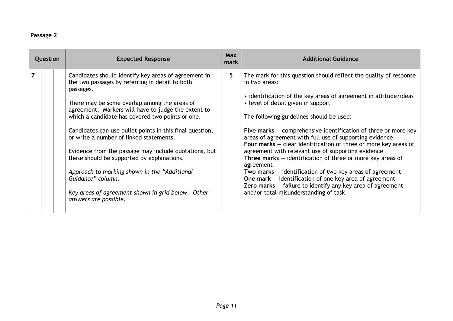## **Passage 2**

| Question |  | <b>Expected Response</b>                                                                                                                                                                                                                                                                                                                                                                                                                                                                                                                                                                                                                         | <b>Max</b><br>mark | <b>Additional Guidance</b>                                                                                                                                                                                                                                                                                                                                                                                                                                                                                                                                                                                                                                                                                                                                                                                         |
|----------|--|--------------------------------------------------------------------------------------------------------------------------------------------------------------------------------------------------------------------------------------------------------------------------------------------------------------------------------------------------------------------------------------------------------------------------------------------------------------------------------------------------------------------------------------------------------------------------------------------------------------------------------------------------|--------------------|--------------------------------------------------------------------------------------------------------------------------------------------------------------------------------------------------------------------------------------------------------------------------------------------------------------------------------------------------------------------------------------------------------------------------------------------------------------------------------------------------------------------------------------------------------------------------------------------------------------------------------------------------------------------------------------------------------------------------------------------------------------------------------------------------------------------|
|          |  | Candidates should identify key areas of agreement in<br>the two passages by referring in detail to both<br>passages.<br>There may be some overlap among the areas of<br>agreement. Markers will have to judge the extent to<br>which a candidate has covered two points or one.<br>Candidates can use bullet points in this final question,<br>or write a number of linked statements.<br>Evidence from the passage may include quotations, but<br>these should be supported by explanations.<br>Approach to marking shown in the "Additional<br>Guidance" column.<br>Key areas of agreement shown in grid below. Other<br>answers are possible. | 5.                 | The mark for this question should reflect the quality of response<br>in two areas:<br>• identification of the key areas of agreement in attitude/ideas<br>• level of detail given in support<br>The following guidelines should be used:<br>Five marks $-$ comprehensive identification of three or more key<br>areas of agreement with full use of supporting evidence<br>Four marks $-$ clear identification of three or more key areas of<br>agreement with relevant use of supporting evidence<br>Three marks $-$ identification of three or more key areas of<br>agreement<br>Two marks $-$ identification of two key areas of agreement<br>One mark $-$ identification of one key area of agreement<br>Zero marks $-$ failure to identify any key area of agreement<br>and/or total misunderstanding of task |